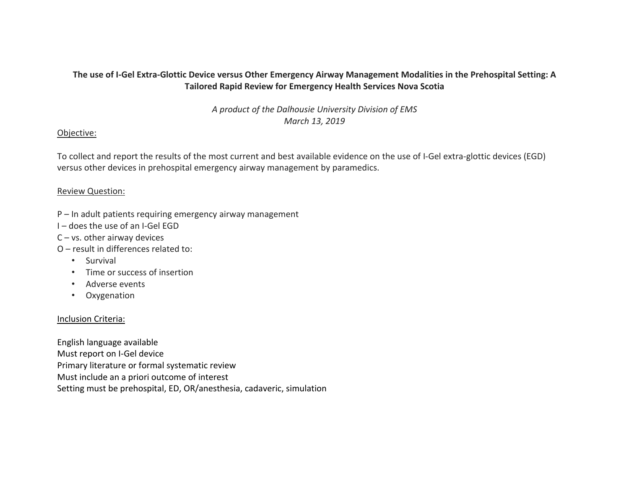## The use of I-Gel Extra-Glottic Device versus Other Emergency Airway Management Modalities in the Prehospital Setting: A **Tailored Rapid Review for Emergency Health Services Nova Scotia**

*A product of the Dalhousie University Division of EMS March 13, 2019*

### Objective:

To collect and report the results of the most current and best available evidence on the use of I-Gel extra-glottic devices (EGD) versus other devices in prehospital emergency airway management by paramedics.

## Review Question:

- P In adult patients requiring emergency airway management
- I does the use of an I-Gel EGD
- C vs. other airway devices
- O result in differences related to:
	- Survival
	- Time or success of insertion
	- Adverse events
	- Oxygenation

## Inclusion Criteria:

English language available Must report on I-Gel device Primary literature or formal systematic review Must include an a priori outcome of interest Setting must be prehospital, ED, OR/anesthesia, cadaveric, simulation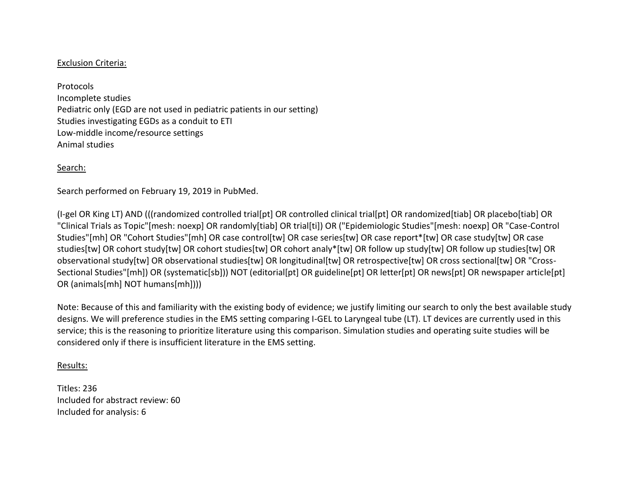## Exclusion Criteria:

Protocols Incomplete studies Pediatric only (EGD are not used in pediatric patients in our setting) Studies investigating EGDs as a conduit to ETI Low-middle income/resource settings Animal studies

## Search:

Search performed on February 19, 2019 in PubMed.

(I-gel OR King LT) AND (((randomized controlled trial[pt] OR controlled clinical trial[pt] OR randomized[tiab] OR placebo[tiab] OR "Clinical Trials as Topic"[mesh: noexp] OR randomly[tiab] OR trial[ti]) OR ("Epidemiologic Studies"[mesh: noexp] OR "Case-Control Studies"[mh] OR "Cohort Studies"[mh] OR case control[tw] OR case series[tw] OR case report\*[tw] OR case study[tw] OR case studies[tw] OR cohort study[tw] OR cohort studies[tw] OR cohort analy\*[tw] OR follow up study[tw] OR follow up studies[tw] OR observational study[tw] OR observational studies[tw] OR longitudinal[tw] OR retrospective[tw] OR cross sectional[tw] OR "Cross-Sectional Studies"[mh]) OR (systematic[sb])) NOT (editorial[pt] OR guideline[pt] OR letter[pt] OR news[pt] OR newspaper article[pt] OR (animals[mh] NOT humans[mh])))

Note: Because of this and familiarity with the existing body of evidence; we justify limiting our search to only the best available study designs. We will preference studies in the EMS setting comparing I-GEL to Laryngeal tube (LT). LT devices are currently used in this service; this is the reasoning to prioritize literature using this comparison. Simulation studies and operating suite studies will be considered only if there is insufficient literature in the EMS setting.

#### Results:

Titles: 236 Included for abstract review: 60 Included for analysis: 6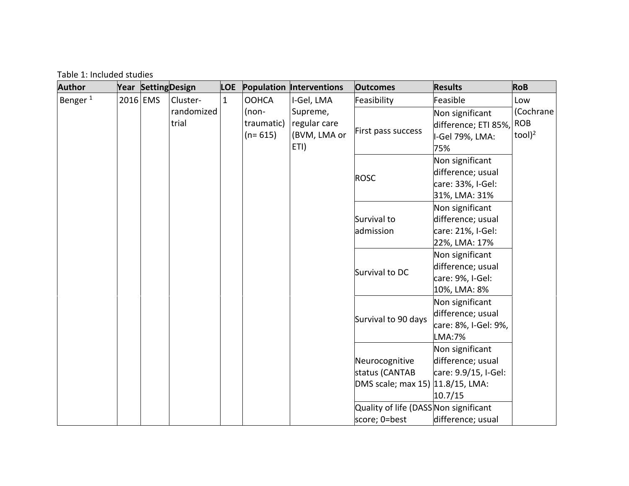Table 1: Included studies

| <b>Author</b>       |  |          | Year Setting Design | <b>LOE</b>   |                                    | <b>Population Interventions</b>                  | <b>Outcomes</b>                                                      | <b>Results</b>                                                             | <b>RoB</b>                               |
|---------------------|--|----------|---------------------|--------------|------------------------------------|--------------------------------------------------|----------------------------------------------------------------------|----------------------------------------------------------------------------|------------------------------------------|
| Benger <sup>1</sup> |  | 2016 EMS | Cluster-            | $\mathbf{1}$ | <b>OOHCA</b>                       | I-Gel, LMA                                       | Feasibility                                                          | Feasible                                                                   | Low                                      |
|                     |  |          | randomized<br>trial |              | $(non-$<br>traumatic)<br>$(n=615)$ | Supreme,<br>regular care<br>(BVM, LMA or<br>ETI) | First pass success                                                   | Non significant<br>difference; ETI 85%,<br>I-Gel 79%, LMA:<br>75%          | (Cochrane<br><b>ROB</b><br>$to$ ol $)^2$ |
|                     |  |          |                     |              |                                    |                                                  | <b>ROSC</b>                                                          | Non significant<br>difference; usual<br>care: 33%, I-Gel:<br>31%, LMA: 31% |                                          |
|                     |  |          |                     |              |                                    |                                                  | Survival to<br>admission                                             | Non significant<br>difference; usual<br>care: 21%, I-Gel:<br>22%, LMA: 17% |                                          |
|                     |  |          |                     |              |                                    |                                                  | Survival to DC                                                       | Non significant<br>difference; usual<br>care: 9%, I-Gel:<br>10%, LMA: 8%   |                                          |
|                     |  |          |                     |              |                                    |                                                  | Survival to 90 days                                                  | Non significant<br>difference; usual<br>care: 8%, I-Gel: 9%,<br>LMA:7%     |                                          |
|                     |  |          |                     |              |                                    |                                                  | Neurocognitive<br>status (CANTAB<br>DMS scale; max 15) 11.8/15, LMA: | Non significant<br>difference; usual<br>care: 9.9/15, I-Gel:<br>10.7/15    |                                          |
|                     |  |          |                     |              |                                    |                                                  | Quality of life (DASS Non significant<br>score; 0=best               | difference; usual                                                          |                                          |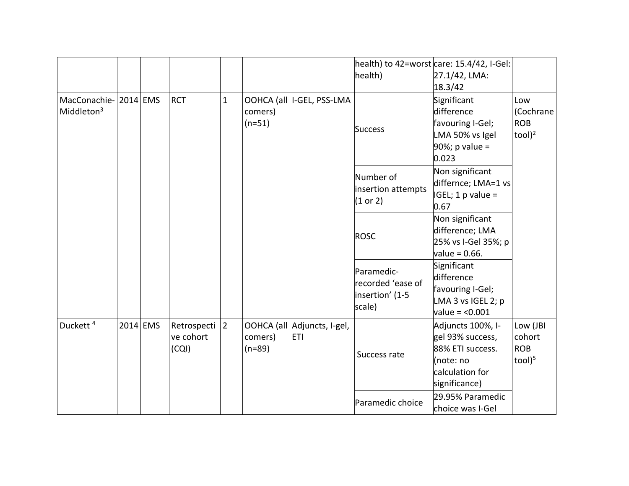|                                       |  |            |                                   |                |                     |                                           | health)                                                      | health) to 42=worst care: 15.4/42, I-Gel:<br>27.1/42, LMA:                                                 |                                               |
|---------------------------------------|--|------------|-----------------------------------|----------------|---------------------|-------------------------------------------|--------------------------------------------------------------|------------------------------------------------------------------------------------------------------------|-----------------------------------------------|
|                                       |  |            |                                   |                |                     |                                           |                                                              | 18.3/42                                                                                                    |                                               |
| MacConachie-2014 EMS<br>Middleton $3$ |  |            | <b>RCT</b>                        | $\mathbf{1}$   | comers)<br>$(n=51)$ | OOHCA (all   I-GEL, PSS-LMA               | <b>Success</b>                                               | Significant<br>difference<br>favouring I-Gel;<br>LMA 50% vs Igel<br>$90\%$ ; p value =<br>0.023            | Low<br>(Cochrane<br><b>ROB</b><br>$tool)^2$   |
|                                       |  |            |                                   |                |                     |                                           | Number of<br>insertion attempts<br>(1 or 2)                  | Non significant<br>differnce; LMA=1 vs<br>$IGEL; 1 p value =$<br>0.67                                      |                                               |
|                                       |  |            |                                   |                |                     |                                           | <b>ROSC</b>                                                  | Non significant<br>difference; LMA<br>25% vs I-Gel 35%; p<br>$value = 0.66$ .                              |                                               |
|                                       |  |            |                                   |                |                     |                                           | Paramedic-<br>recorded 'ease of<br>insertion' (1-5<br>scale) | Significant<br>difference<br>favouring I-Gel;<br>LMA 3 vs IGEL 2; p<br>$value = < 0.001$                   |                                               |
| Duckett <sup>4</sup>                  |  | $2014$ EMS | Retrospecti<br>ve cohort<br>(CQI) | $\overline{2}$ | comers)<br>$(n=89)$ | OOHCA (all Adjuncts, I-gel,<br><b>ETI</b> | Success rate                                                 | Adjuncts 100%, I-<br>gel 93% success,<br>88% ETI success.<br>(note: no<br>calculation for<br>significance) | Low (JBI<br>cohort<br><b>ROB</b><br>$tool)^5$ |
|                                       |  |            |                                   |                |                     |                                           | Paramedic choice                                             | 29.95% Paramedic<br>choice was I-Gel                                                                       |                                               |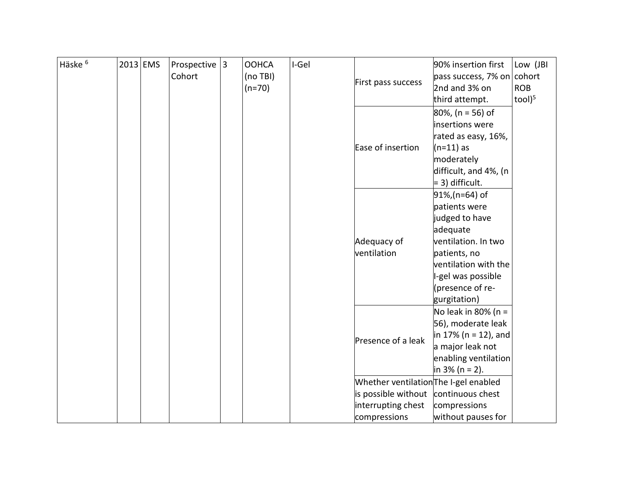| Häske <sup>6</sup> | $2013$ EMS | Prospective $ 3 $<br>Cohort | <b>OOHCA</b><br>(no TBI)<br>$(n=70)$ | I-Gel | First pass success                                          | 90% insertion first<br>pass success, 7% on cohort<br>2nd and 3% on<br>third attempt.                                                                                                 | Low (JBI<br><b>ROB</b><br>$to$ ol) $5$ |
|--------------------|------------|-----------------------------|--------------------------------------|-------|-------------------------------------------------------------|--------------------------------------------------------------------------------------------------------------------------------------------------------------------------------------|----------------------------------------|
|                    |            |                             |                                      |       | Ease of insertion                                           | 80%, (n = 56) of<br>insertions were<br>rated as easy, 16%,<br>$(n=11)$ as<br>moderately<br>difficult, and 4%, (n<br>= 3) difficult.                                                  |                                        |
|                    |            |                             |                                      |       | Adequacy of<br>ventilation                                  | 91%,(n=64) of<br>patients were<br>judged to have<br>adequate<br>ventilation. In two<br>patients, no<br>ventilation with the<br>-gel was possible<br>(presence of re-<br>gurgitation) |                                        |
|                    |            |                             |                                      |       | Presence of a leak<br>Whether ventilation The I-gel enabled | No leak in 80% ( $n =$<br>56), moderate leak<br>in 17% (n = 12), and<br>a major leak not<br>enabling ventilation<br>in $3\%$ (n = 2).                                                |                                        |
|                    |            |                             |                                      |       | is possible without<br>interrupting chest<br>compressions   | continuous chest<br>compressions<br>without pauses for                                                                                                                               |                                        |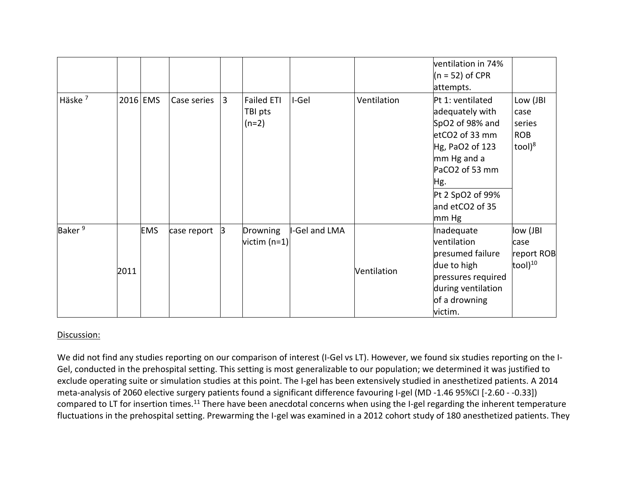|                    |      |            |             |   |                                  |               |             | ventilation in 74%<br>$(n = 52)$ of CPR                                                                                                                                             |                                                           |
|--------------------|------|------------|-------------|---|----------------------------------|---------------|-------------|-------------------------------------------------------------------------------------------------------------------------------------------------------------------------------------|-----------------------------------------------------------|
|                    |      |            |             |   |                                  |               |             | attempts.                                                                                                                                                                           |                                                           |
| Häske <sup>7</sup> |      | 2016 EMS   | Case series | 3 | Failed ETI<br>TBI pts<br>$(n=2)$ | I-Gel         | Ventilation | Pt 1: ventilated<br>adequately with<br>SpO2 of 98% and<br>etCO2 of 33 mm<br>Hg, PaO2 of 123<br>mm Hg and a<br>PaCO2 of 53 mm<br>Hg.<br>Pt 2 SpO2 of 99%<br>and etCO2 of 35<br>mm Hg | Low (JBI<br>case<br>series<br><b>ROB</b><br>$to$ ol $)^8$ |
| Baker <sup>9</sup> | 2011 | <b>EMS</b> | case report | 3 | Drowning<br>$ $ victim (n=1) $ $ | I-Gel and LMA | Ventilation | Inadequate<br>ventilation<br>presumed failure<br>due to high<br>pressures required<br>during ventilation<br>of a drowning<br>victim.                                                | low (JBI<br>case<br>report ROB<br>$[{\rm tool}]^{10}$     |

# Discussion:

We did not find any studies reporting on our comparison of interest (I-Gel vs LT). However, we found six studies reporting on the I-Gel, conducted in the prehospital setting. This setting is most generalizable to our population; we determined it was justified to exclude operating suite or simulation studies at this point. The I-gel has been extensively studied in anesthetized patients. A 2014 meta-analysis of 2060 elective surgery patients found a significant difference favouring I-gel (MD -1.46 95%CI [-2.60 - -0.33]) compared to LT for insertion times.<sup>11</sup> There have been anecdotal concerns when using the I-gel regarding the inherent temperature fluctuations in the prehospital setting. Prewarming the I-gel was examined in a 2012 cohort study of 180 anesthetized patients. They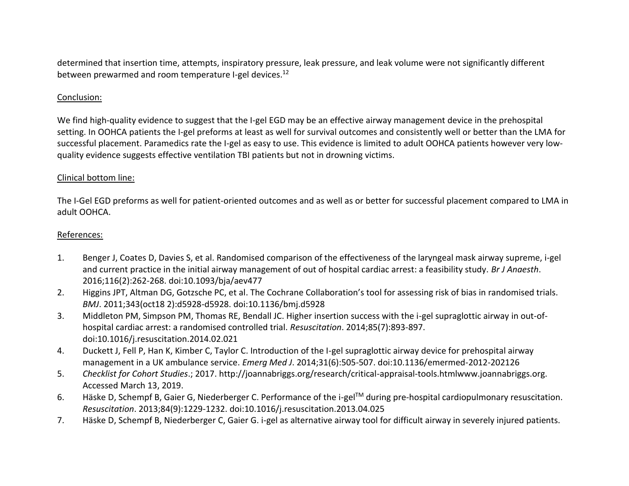determined that insertion time, attempts, inspiratory pressure, leak pressure, and leak volume were not significantly different between prewarmed and room temperature I-gel devices. 12

# Conclusion:

We find high-quality evidence to suggest that the I-gel EGD may be an effective airway management device in the prehospital setting. In OOHCA patients the I-gel preforms at least as well for survival outcomes and consistently well or better than the LMA for successful placement. Paramedics rate the I-gel as easy to use. This evidence is limited to adult OOHCA patients however very lowquality evidence suggests effective ventilation TBI patients but not in drowning victims.

# Clinical bottom line:

The I-Gel EGD preforms as well for patient-oriented outcomes and as well as or better for successful placement compared to LMA in adult OOHCA.

## References:

- 1. Benger J, Coates D, Davies S, et al. Randomised comparison of the effectiveness of the laryngeal mask airway supreme, i-gel and current practice in the initial airway management of out of hospital cardiac arrest: a feasibility study. *Br J Anaesth*. 2016;116(2):262-268. doi:10.1093/bja/aev477
- 2. Higgins JPT, Altman DG, Gotzsche PC, et al. The Cochrane Collaboration's tool for assessing risk of bias in randomised trials. *BMJ*. 2011;343(oct18 2):d5928-d5928. doi:10.1136/bmj.d5928
- 3. Middleton PM, Simpson PM, Thomas RE, Bendall JC. Higher insertion success with the i-gel supraglottic airway in out-ofhospital cardiac arrest: a randomised controlled trial. *Resuscitation*. 2014;85(7):893-897. doi:10.1016/j.resuscitation.2014.02.021
- 4. Duckett J, Fell P, Han K, Kimber C, Taylor C. Introduction of the I-gel supraglottic airway device for prehospital airway management in a UK ambulance service. *Emerg Med J*. 2014;31(6):505-507. doi:10.1136/emermed-2012-202126
- 5. *Checklist for Cohort Studies*.; 2017. http://joannabriggs.org/research/critical-appraisal-tools.htmlwww.joannabriggs.org. Accessed March 13, 2019.
- 6. Häske D, Schempf B, Gaier G, Niederberger C. Performance of the i-gelTM during pre-hospital cardiopulmonary resuscitation. *Resuscitation*. 2013;84(9):1229-1232. doi:10.1016/j.resuscitation.2013.04.025
- 7. Häske D, Schempf B, Niederberger C, Gaier G. i-gel as alternative airway tool for difficult airway in severely injured patients.